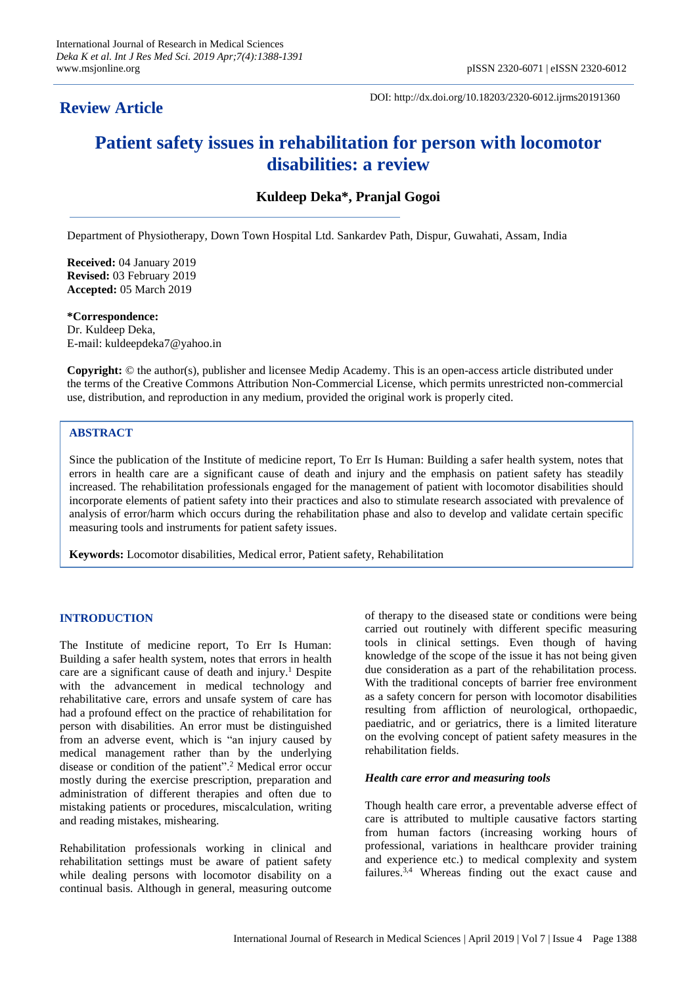# **Review Article**

DOI: http://dx.doi.org/10.18203/2320-6012.ijrms20191360

# **Patient safety issues in rehabilitation for person with locomotor disabilities: a review**

**Kuldeep Deka\*, Pranjal Gogoi**

Department of Physiotherapy, Down Town Hospital Ltd. Sankardev Path, Dispur, Guwahati, Assam, India

**Received:** 04 January 2019 **Revised:** 03 February 2019 **Accepted:** 05 March 2019

**\*Correspondence:** Dr. Kuldeep Deka, E-mail: kuldeepdeka7@yahoo.in

**Copyright:** © the author(s), publisher and licensee Medip Academy. This is an open-access article distributed under the terms of the Creative Commons Attribution Non-Commercial License, which permits unrestricted non-commercial use, distribution, and reproduction in any medium, provided the original work is properly cited.

# **ABSTRACT**

Since the publication of the Institute of medicine report, To Err Is Human: Building a safer health system, notes that errors in health care are a significant cause of death and injury and the emphasis on patient safety has steadily increased. The rehabilitation professionals engaged for the management of patient with locomotor disabilities should incorporate elements of patient safety into their practices and also to stimulate research associated with prevalence of analysis of error/harm which occurs during the rehabilitation phase and also to develop and validate certain specific measuring tools and instruments for patient safety issues.

**Keywords:** Locomotor disabilities, Medical error, Patient safety, Rehabilitation

# **INTRODUCTION**

The Institute of medicine report, To Err Is Human: Building a safer health system, notes that errors in health care are a significant cause of death and injury.<sup>1</sup> Despite with the advancement in medical technology and rehabilitative care, errors and unsafe system of care has had a profound effect on the practice of rehabilitation for person with disabilities. An error must be distinguished from an adverse event, which is "an injury caused by medical management rather than by the underlying disease or condition of the patient".<sup>2</sup> Medical error occur mostly during the exercise prescription, preparation and administration of different therapies and often due to mistaking patients or procedures, miscalculation, writing and reading mistakes, mishearing.

Rehabilitation professionals working in clinical and rehabilitation settings must be aware of patient safety while dealing persons with locomotor disability on a continual basis. Although in general, measuring outcome

of therapy to the diseased state or conditions were being carried out routinely with different specific measuring tools in clinical settings. Even though of having knowledge of the scope of the issue it has not being given due consideration as a part of the rehabilitation process. With the traditional concepts of barrier free environment as a safety concern for person with locomotor disabilities resulting from affliction of neurological, orthopaedic, paediatric, and or geriatrics, there is a limited literature on the evolving concept of patient safety measures in the rehabilitation fields.

# *Health care error and measuring tools*

Though health care error, a preventable adverse effect of care is attributed to multiple causative factors starting from human factors (increasing working hours of professional, variations in healthcare provider training and experience etc.) to medical complexity and system failures.3,4 Whereas finding out the exact cause and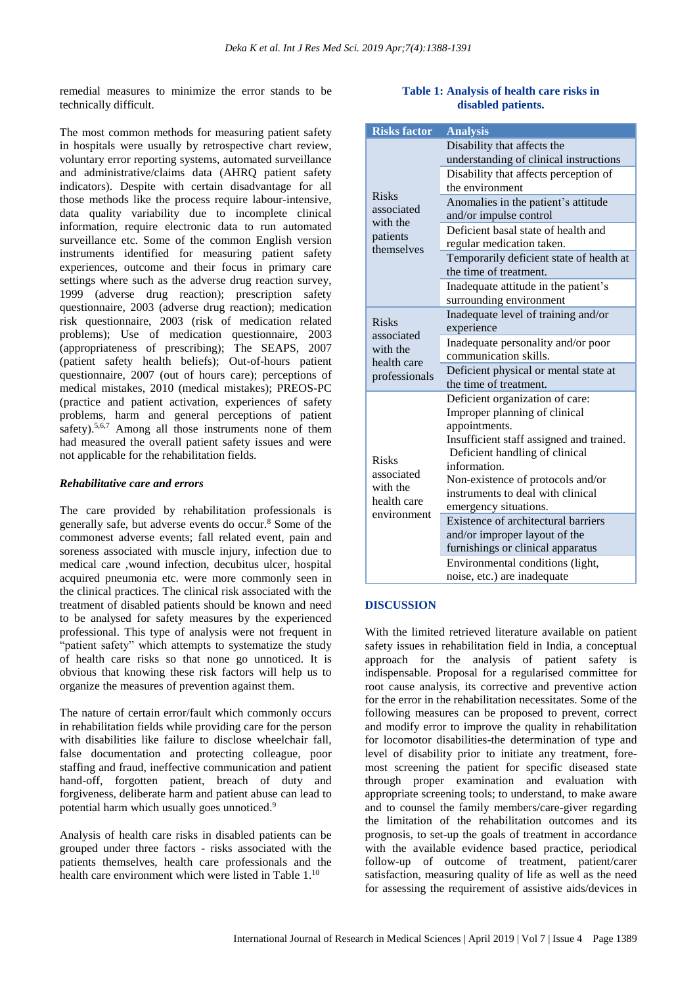remedial measures to minimize the error stands to be technically difficult.

The most common methods for measuring patient safety in hospitals were usually by retrospective chart review, voluntary error reporting systems, automated surveillance and administrative/claims data (AHRQ patient safety indicators). Despite with certain disadvantage for all those methods like the process require labour-intensive, data quality variability due to incomplete clinical information, require electronic data to run automated surveillance etc. Some of the common English version instruments identified for measuring patient safety experiences, outcome and their focus in primary care settings where such as the adverse drug reaction survey, 1999 (adverse drug reaction); prescription safety questionnaire, 2003 (adverse drug reaction); medication risk questionnaire, 2003 (risk of medication related problems); Use of medication questionnaire, 2003 (appropriateness of prescribing); The SEAPS, 2007 (patient safety health beliefs); Out-of-hours patient questionnaire, 2007 (out of hours care); perceptions of medical mistakes, 2010 (medical mistakes); PREOS-PC (practice and patient activation, experiences of safety problems, harm and general perceptions of patient safety).<sup>5,6,7</sup> Among all those instruments none of them had measured the overall patient safety issues and were not applicable for the rehabilitation fields.

# *Rehabilitative care and errors*

The care provided by rehabilitation professionals is generally safe, but adverse events do occur.<sup>8</sup> Some of the commonest adverse events; fall related event, pain and soreness associated with muscle injury, infection due to medical care ,wound infection, decubitus ulcer, hospital acquired pneumonia etc. were more commonly seen in the clinical practices. The clinical risk associated with the treatment of disabled patients should be known and need to be analysed for safety measures by the experienced professional. This type of analysis were not frequent in "patient safety" which attempts to systematize the study of health care risks so that none go unnoticed. It is obvious that knowing these risk factors will help us to organize the measures of prevention against them.

The nature of certain error/fault which commonly occurs in rehabilitation fields while providing care for the person with disabilities like failure to disclose wheelchair fall. false documentation and protecting colleague, poor staffing and fraud, ineffective communication and patient hand-off, forgotten patient, breach of duty and forgiveness, deliberate harm and patient abuse can lead to potential harm which usually goes unnoticed.<sup>9</sup>

Analysis of health care risks in disabled patients can be grouped under three factors - risks associated with the patients themselves, health care professionals and the health care environment which were listed in Table 1.<sup>10</sup>

# **Table 1: Analysis of health care risks in disabled patients.**

| <b>Risks factor</b>                                                    | <b>Analysis</b>                          |
|------------------------------------------------------------------------|------------------------------------------|
| <b>Risks</b><br>associated<br>with the<br>patients<br>themselves       | Disability that affects the              |
|                                                                        | understanding of clinical instructions   |
|                                                                        | Disability that affects perception of    |
|                                                                        | the environment                          |
|                                                                        | Anomalies in the patient's attitude      |
|                                                                        | and/or impulse control                   |
|                                                                        | Deficient basal state of health and      |
|                                                                        | regular medication taken.                |
|                                                                        | Temporarily deficient state of health at |
|                                                                        | the time of treatment.                   |
|                                                                        | Inadequate attitude in the patient's     |
|                                                                        | surrounding environment                  |
| <b>Risks</b><br>associated<br>with the<br>health care<br>professionals | Inadequate level of training and/or      |
|                                                                        | experience                               |
|                                                                        | Inadequate personality and/or poor       |
|                                                                        | communication skills.                    |
|                                                                        | Deficient physical or mental state at    |
|                                                                        | the time of treatment.                   |
| <b>Risks</b><br>associated<br>with the<br>health care<br>environment   | Deficient organization of care:          |
|                                                                        | Improper planning of clinical            |
|                                                                        | appointments.                            |
|                                                                        | Insufficient staff assigned and trained. |
|                                                                        | Deficient handling of clinical           |
|                                                                        | information.                             |
|                                                                        | Non-existence of protocols and/or        |
|                                                                        | instruments to deal with clinical        |
|                                                                        | emergency situations.                    |
|                                                                        | Existence of architectural barriers      |
|                                                                        | and/or improper layout of the            |
|                                                                        | furnishings or clinical apparatus        |
|                                                                        | Environmental conditions (light,         |
|                                                                        | noise, etc.) are inadequate              |

# **DISCUSSION**

With the limited retrieved literature available on patient safety issues in rehabilitation field in India, a conceptual approach for the analysis of patient safety is indispensable. Proposal for a regularised committee for root cause analysis, its corrective and preventive action for the error in the rehabilitation necessitates. Some of the following measures can be proposed to prevent, correct and modify error to improve the quality in rehabilitation for locomotor disabilities-the determination of type and level of disability prior to initiate any treatment, foremost screening the patient for specific diseased state through proper examination and evaluation with appropriate screening tools; to understand, to make aware and to counsel the family members/care-giver regarding the limitation of the rehabilitation outcomes and its prognosis, to set-up the goals of treatment in accordance with the available evidence based practice, periodical follow-up of outcome of treatment, patient/carer satisfaction, measuring quality of life as well as the need for assessing the requirement of assistive aids/devices in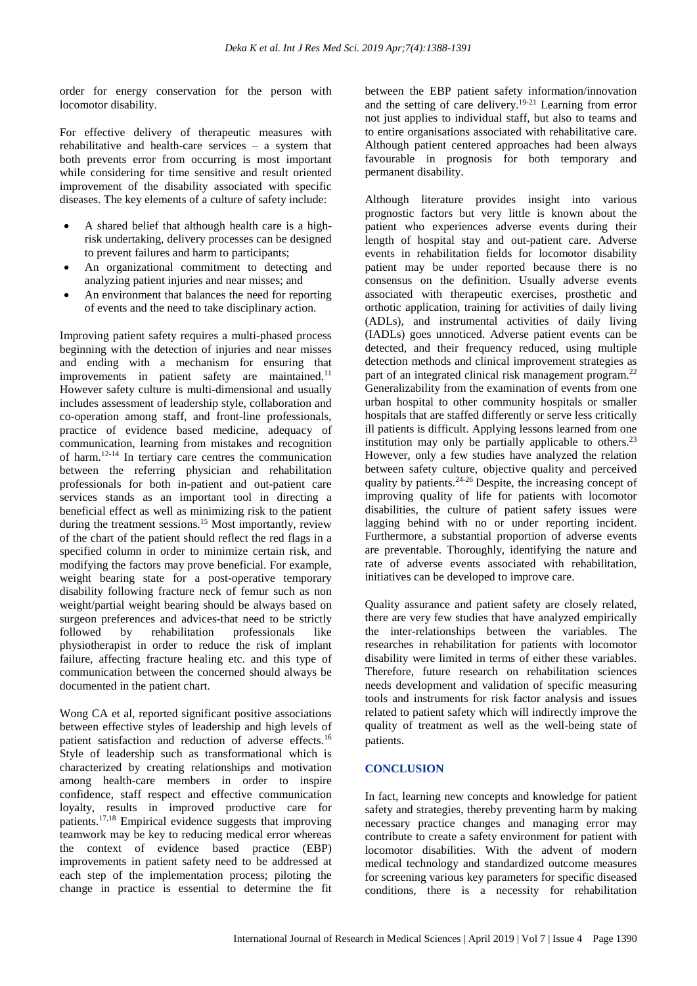order for energy conservation for the person with locomotor disability.

For effective delivery of therapeutic measures with rehabilitative and health-care services – a system that both prevents error from occurring is most important while considering for time sensitive and result oriented improvement of the disability associated with specific diseases. The key elements of a culture of safety include:

- A shared belief that although health care is a highrisk undertaking, delivery processes can be designed to prevent failures and harm to participants;
- An organizational commitment to detecting and analyzing patient injuries and near misses; and
- An environment that balances the need for reporting of events and the need to take disciplinary action.

Improving patient safety requires a multi-phased process beginning with the detection of injuries and near misses and ending with a mechanism for ensuring that improvements in patient safety are maintained.<sup>11</sup> However safety culture is multi-dimensional and usually includes assessment of leadership style, collaboration and co-operation among staff, and front-line professionals, practice of evidence based medicine, adequacy of communication, learning from mistakes and recognition of harm.12-14 In tertiary care centres the communication between the referring physician and rehabilitation professionals for both in-patient and out-patient care services stands as an important tool in directing a beneficial effect as well as minimizing risk to the patient during the treatment sessions.<sup>15</sup> Most importantly, review of the chart of the patient should reflect the red flags in a specified column in order to minimize certain risk, and modifying the factors may prove beneficial. For example, weight bearing state for a post-operative temporary disability following fracture neck of femur such as non weight/partial weight bearing should be always based on surgeon preferences and advices-that need to be strictly followed by rehabilitation professionals like physiotherapist in order to reduce the risk of implant failure, affecting fracture healing etc. and this type of communication between the concerned should always be documented in the patient chart.

Wong CA et al, reported significant positive associations between effective styles of leadership and high levels of patient satisfaction and reduction of adverse effects.<sup>16</sup> Style of leadership such as transformational which is characterized by creating relationships and motivation among health-care members in order to inspire confidence, staff respect and effective communication loyalty, results in improved productive care for patients.17,18 Empirical evidence suggests that improving teamwork may be key to reducing medical error whereas the context of evidence based practice (EBP) improvements in patient safety need to be addressed at each step of the implementation process; piloting the change in practice is essential to determine the fit between the EBP patient safety information/innovation and the setting of care delivery.19-21 Learning from error not just applies to individual staff, but also to teams and to entire organisations associated with rehabilitative care. Although patient centered approaches had been always favourable in prognosis for both temporary and permanent disability.

Although literature provides insight into various prognostic factors but very little is known about the patient who experiences adverse events during their length of hospital stay and out-patient care. Adverse events in rehabilitation fields for locomotor disability patient may be under reported because there is no consensus on the definition. Usually adverse events associated with therapeutic exercises, prosthetic and orthotic application, training for activities of daily living (ADLs), and instrumental activities of daily living (IADLs) goes unnoticed. Adverse patient events can be detected, and their frequency reduced, using multiple detection methods and clinical improvement strategies as part of an integrated clinical risk management program.<sup>22</sup> Generalizability from the examination of events from one urban hospital to other community hospitals or smaller hospitals that are staffed differently or serve less critically ill patients is difficult. Applying lessons learned from one institution may only be partially applicable to others.<sup>23</sup> However, only a few studies have analyzed the relation between safety culture, objective quality and perceived quality by patients.24-26 Despite, the increasing concept of improving quality of life for patients with locomotor disabilities, the culture of patient safety issues were lagging behind with no or under reporting incident. Furthermore, a substantial proportion of adverse events are preventable. Thoroughly, identifying the nature and rate of adverse events associated with rehabilitation, initiatives can be developed to improve care.

Quality assurance and patient safety are closely related, there are very few studies that have analyzed empirically the inter-relationships between the variables. The researches in rehabilitation for patients with locomotor disability were limited in terms of either these variables. Therefore, future research on rehabilitation sciences needs development and validation of specific measuring tools and instruments for risk factor analysis and issues related to patient safety which will indirectly improve the quality of treatment as well as the well-being state of patients.

# **CONCLUSION**

In fact, learning new concepts and knowledge for patient safety and strategies, thereby preventing harm by making necessary practice changes and managing error may contribute to create a safety environment for patient with locomotor disabilities. With the advent of modern medical technology and standardized outcome measures for screening various key parameters for specific diseased conditions, there is a necessity for rehabilitation